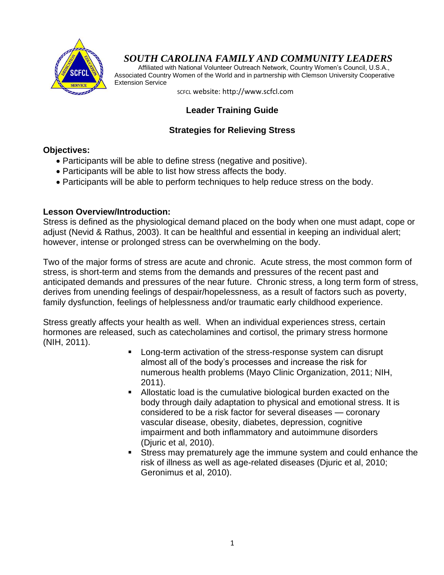

# *SOUTH CAROLINA FAMILY AND COMMUNITY LEADERS*

 Affiliated with National Volunteer Outreach Network, Country Women's Council, U.S.A., Associated Country Women of the World and in partnership with Clemson University Cooperative Extension Service

SCFCL website: http://www.scfcl.com

# **Leader Training Guide**

## **Strategies for Relieving Stress**

#### **Objectives:**

- Participants will be able to define stress (negative and positive).
- Participants will be able to list how stress affects the body.
- Participants will be able to perform techniques to help reduce stress on the body.

#### **Lesson Overview/Introduction:**

Stress is defined as the physiological demand placed on the body when one must adapt, cope or adjust (Nevid & Rathus, 2003). It can be healthful and essential in keeping an individual alert; however, intense or prolonged stress can be overwhelming on the body.

Two of the major forms of stress are acute and chronic. Acute stress, the most common form of stress, is short-term and stems from the demands and pressures of the recent past and anticipated demands and pressures of the near future. Chronic stress, a long term form of stress, derives from unending feelings of despair/hopelessness, as a result of factors such as poverty, family dysfunction, feelings of helplessness and/or traumatic early childhood experience.

Stress greatly affects your health as well. When an individual experiences stress, certain hormones are released, such as catecholamines and cortisol, the primary stress hormone (NIH, 2011).

- **Long-term activation of the stress-response system can disrupt** almost all of the body's processes and increase the risk for numerous health problems (Mayo Clinic Organization, 2011; NIH, 2011).
- Allostatic load is the cumulative biological burden exacted on the body through daily adaptation to physical and emotional stress. It is considered to be a risk factor for several diseases — coronary vascular disease, obesity, diabetes, depression, cognitive impairment and both inflammatory and autoimmune disorders (Djuric et al, 2010).
- Stress may prematurely age the immune system and could enhance the risk of illness as well as age-related diseases (Djuric et al, 2010; Geronimus et al, 2010).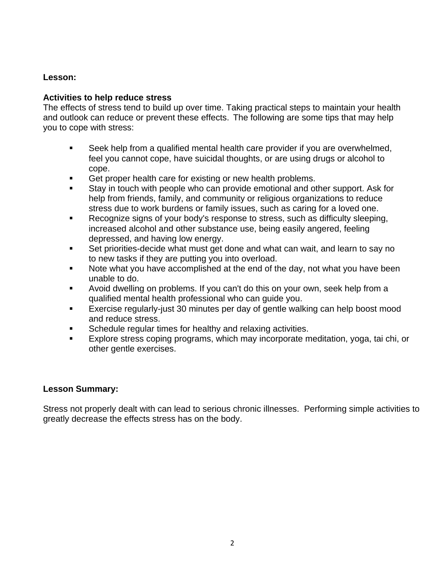#### **Lesson:**

#### **Activities to help reduce stress**

The effects of stress tend to build up over time. Taking practical steps to maintain your health and outlook can reduce or prevent these effects. The following are some tips that may help you to cope with stress:

- Seek help from a qualified mental health care provider if you are overwhelmed, feel you cannot cope, have suicidal thoughts, or are using drugs or alcohol to cope.
- Get proper health care for existing or new health problems.
- Stay in touch with people who can provide emotional and other support. Ask for help from friends, family, and community or religious organizations to reduce stress due to work burdens or family issues, such as caring for a loved one.
- Recognize signs of your body's response to stress, such as difficulty sleeping, increased alcohol and other substance use, being easily angered, feeling depressed, and having low energy.
- Set priorities-decide what must get done and what can wait, and learn to say no to new tasks if they are putting you into overload.
- Note what you have accomplished at the end of the day, not what you have been unable to do.
- Avoid dwelling on problems. If you can't do this on your own, seek help from a qualified mental health professional who can guide you.
- Exercise regularly-just 30 minutes per day of gentle walking can help boost mood and reduce stress.
- Schedule regular times for healthy and relaxing activities.
- Explore stress coping programs, which may incorporate meditation, yoga, tai chi, or other gentle exercises.

#### **Lesson Summary:**

Stress not properly dealt with can lead to serious chronic illnesses. Performing simple activities to greatly decrease the effects stress has on the body.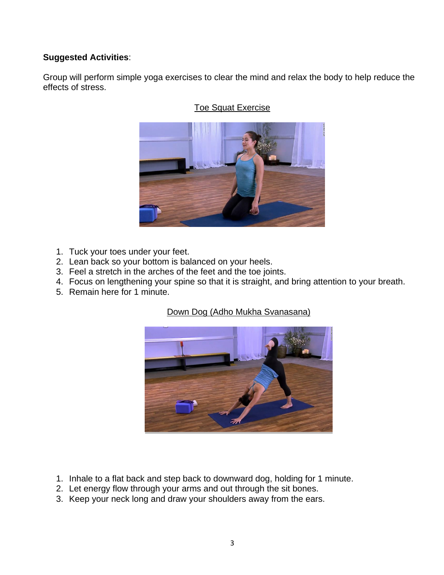## **Suggested Activities**:

Group will perform simple yoga exercises to clear the mind and relax the body to help reduce the effects of stress.



# Toe Squat Exercise

- 1. Tuck your toes under your feet.
- 2. Lean back so your bottom is balanced on your heels.
- 3. Feel a stretch in the arches of the feet and the toe joints.
- 4. Focus on lengthening your spine so that it is straight, and bring attention to your breath.
- 5. Remain here for 1 minute.

# Down Dog (Adho Mukha Svanasana)



- 1. Inhale to a flat back and step back to downward dog, holding for 1 minute.
- 2. Let energy flow through your arms and out through the sit bones.
- 3. Keep your neck long and draw your shoulders away from the ears.